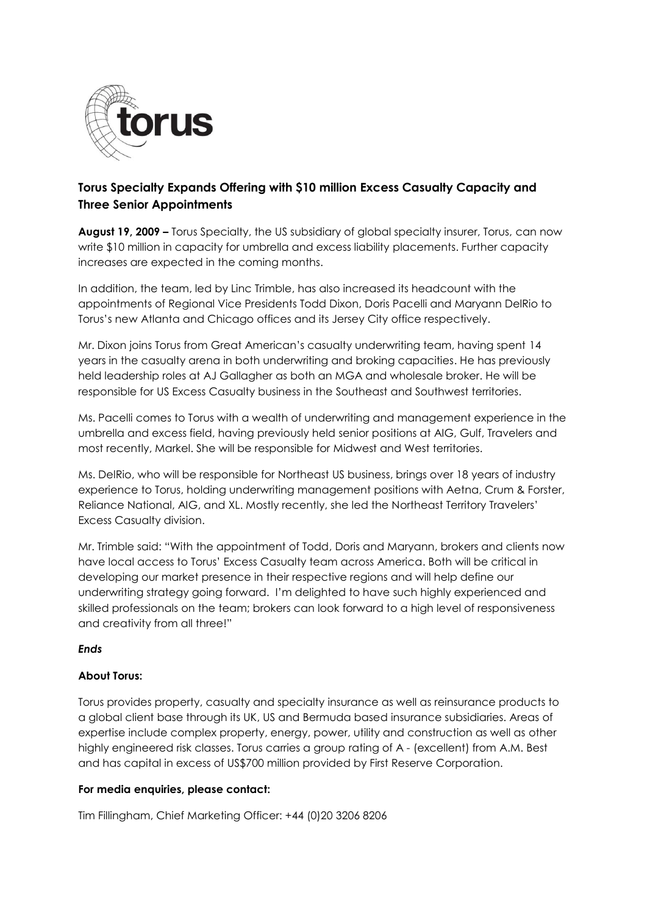

## **Torus Specialty Expands Offering with \$10 million Excess Casualty Capacity and Three Senior Appointments**

**August 19, 2009 –** Torus Specialty, the US subsidiary of global specialty insurer, Torus, can now write \$10 million in capacity for umbrella and excess liability placements. Further capacity increases are expected in the coming months.

In addition, the team, led by Linc Trimble, has also increased its headcount with the appointments of Regional Vice Presidents Todd Dixon, Doris Pacelli and Maryann DelRio to Torus's new Atlanta and Chicago offices and its Jersey City office respectively.

Mr. Dixon joins Torus from Great American's casualty underwriting team, having spent 14 years in the casualty arena in both underwriting and broking capacities. He has previously held leadership roles at AJ Gallagher as both an MGA and wholesale broker. He will be responsible for US Excess Casualty business in the Southeast and Southwest territories.

Ms. Pacelli comes to Torus with a wealth of underwriting and management experience in the umbrella and excess field, having previously held senior positions at AIG, Gulf, Travelers and most recently, Markel. She will be responsible for Midwest and West territories.

Ms. DelRio, who will be responsible for Northeast US business, brings over 18 years of industry experience to Torus, holding underwriting management positions with Aetna, Crum & Forster, Reliance National, AIG, and XL. Mostly recently, she led the Northeast Territory Travelers' Excess Casualty division.

Mr. Trimble said: "With the appointment of Todd, Doris and Maryann, brokers and clients now have local access to Torus' Excess Casualty team across America. Both will be critical in developing our market presence in their respective regions and will help define our underwriting strategy going forward. I'm delighted to have such highly experienced and skilled professionals on the team; brokers can look forward to a high level of responsiveness and creativity from all three!"

## *Ends*

## **About Torus:**

Torus provides property, casualty and specialty insurance as well as reinsurance products to a global client base through its UK, US and Bermuda based insurance subsidiaries. Areas of expertise include complex property, energy, power, utility and construction as well as other highly engineered risk classes. Torus carries a group rating of A - (excellent) from A.M. Best and has capital in excess of US\$700 million provided by First Reserve Corporation.

## **For media enquiries, please contact:**

Tim Fillingham, Chief Marketing Officer: +44 (0)20 3206 8206